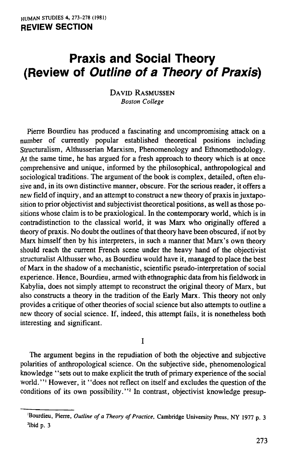## **Praxis and Social Theory (Review of** *Outline of a Theory of Praxis)*

DAVID RASMUSSEN *Boston College* 

Pierre Bourdieu has produced a fascinating and uncompromising attack on a number of currently popular established theoretical positions including Structuralism, Althusserian Marxism, Phenomenology and Ethnomethodology. At the same time, he has argued for a fresh approach to theory which is at once comprehensive and unique, informed by the philosophical, anthropological and sociological traditions. The argument of the book is complex, detailed, often elusive and, in its own distinctive manner, obscure. For the serious reader, it offers a new field of inquiry, and an attempt to construct a new theory of praxis in juxtaposition to prior objectivist and subjectivist theoretical positions, as well as those positions whose claim is to be praxiological. In the contemporary world, which is in contradistinction to the classical world, it was Marx who originally offered a theory of praxis. No doubt the outlines of that theory have been obscured, if not by Marx himself then by his interpreters, in such a manner that Marx's own theory should reach the current French scene under the heavy hand of the objectivist structuralist Althusser who, as Bourdieu would have it, managed to place the best of Marx in the shadow of a mechanistic, scientific pseudo-interpretation of social experience. Hence, Bourdieu, armed with ethnographic data from his fieldwork in Kabylia, does not simply attempt to reconstruct the original theory of Marx, but also constructs a theory in the tradition of the Early Marx. This theory not only provides a critique of other theories of social science but also attempts to outline a new theory of social science. If, indeed, this attempt fails, it is nonetheless both interesting and significant.

I

The argument begins in the repudiation of both the objective and subjective polarities of anthropological science. On the subjective side, phenomenological knowledge "sets out to make explicit the truth of primary experience of the social world."<sup>1</sup> However, it "does not reflect on itself and excludes the question of the conditions of its own possibility."<sup>2</sup> In contrast, objectivist knowledge presup-

<sup>&</sup>lt;sup>1</sup>Bourdieu, Pierre, *Outline of a Theory of Practice*, Cambridge University Press, NY 1977 p. 3 2Ibid p. 3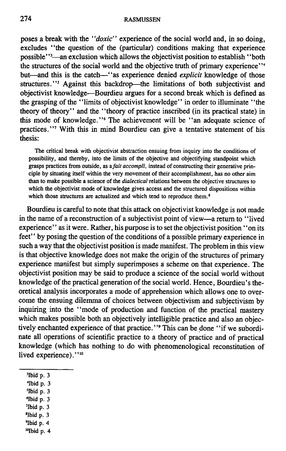poses a break with the *"doxic"* experience of the social world and, in so doing, excludes "the question of the (particular) conditions making that experience possible"<sup>3</sup>-an exclusion which allows the objectivist position to establish "both the structures of the social world and the objective truth of primary experience''<sup>4</sup> but-and this is the catch---"as experience denied *explicit* knowledge of those structures.''<sup>5</sup> Against this backdrop---the limitations of both subjectivist and objectivist knowledge--Bourdieu argues for a second break which is defined as the grasping of the "limits of objectivist knowledge" in order to illuminate "the theory of theory" and the "theory of practice inscribed (in its practical state) in this mode of knowledge."<sup>6</sup> The achievement will be "an adequate science of practices. ''7 With this in mind Bourdieu can give a tentative statement of his thesis:

The critical break with objectivist abstraction ensuing from inquiry into the conditions of possibility, and thereby, into the limits of the objective and objectifying standpoint which grasps practices from outside, as *afait accompli,* instead of constructing their generative principle by situating itself within the very movement of their accomplishment, has no other aim than to make possible a science of the *dialectical* relations between the objective structures to which the objectivist mode of knowledge gives access and the structured dispositions within which those structures are actualized and which tend to reproduce them.<sup>8</sup>

Bourdieu is careful to note that this attack on objectivist knowledge is not made in the name of a reconstruction of a subjectivist point of view-a return to "lived experience" as it were. Rather, his purpose is to set the objectivist position "on its feet" by posing the question of the conditions of a possible primary experience in such a way that the objectivist position is made manifest. The problem in this view is that objective knowledge does not make the origin of the structures of primary experience manifest but simply superimposes a scheme on that experience. The objectivist position may be said to produce a science of the social world without knowledge of the practical generation of the social world. Hence, Bourdieu's theoretical analysis incorporates a mode of apprehension which allows one to overcome the ensuing dilemma of choices between objectivism and subjectivism by inquiring into the "mode of production and function of the practical mastery which makes possible both an objectively intelligible practice and also an objectively enchanted experience of that practice.'' This can be done "if we subordinate all operations of scientific practice to a theory of practice and of practical knowledge (which has nothing to do with phenomenological reconstitution of lived experience)."<sup>10</sup>

- aIbid p. 3
- 'Ibid p. 3
- 5Ibid p. 3
- 6Ibid p. 3
- ~Ibid p. 3
- <sup>8</sup>Ibid p. 3
- **91bid p. 4**
- I°Ibid p. 4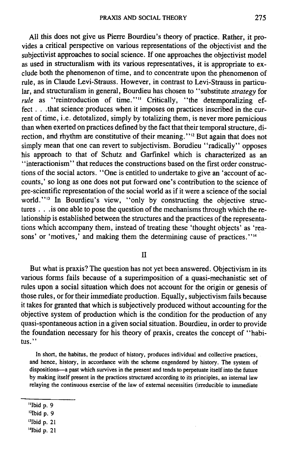All this does not give us Pierre Bourdieu's theory of practice. Rather, it provides a critical perspective on various representations of the objectivist and the subjectivist approaches to social science. If one approaches the objectivist model as used in structuralism with its various representatives, it is appropriate to exclude both the phenomenon of time, and to concentrate upon the phenomenon of rule, as in Claude Levi-Strauss. However, in contrast to Levi-Strauss in particular, and structuralism in general, Bourdieu has chosen to "substitute *strategy* for *rule* as "reintroduction of time."" Critically, "the detemporalizing effect...that science produces when it imposes on practices inscribed in the current of time, i.e. detotalized, simply by totalizing them, is never more pernicious than when exerted on practices defined by the fact that their temporal structure, direction, and rhythm are constitutive of their meaning."<sup>12</sup> But again that does not simply mean that one can revert to subjectivism. Borudieu "radically" opposes his approach to that of Schutz and Garfinkel which is characterized as an "interactionism" that reduces the constructions based on the first order constructions of the social actors. "One is entitled to undertake to give an 'account of accounts,' so long as one does not put forward one's contribution to the science of pre-scientific representation of the social world as if it were a science of the social world."<sup>13</sup> In Bourdieu's view, "only by constructing the objective structures... is one able to pose the question of the mechanisms through which the relationship is established between the structures and the practices of the representations which accompany them, instead of treating these 'thought objects' as 'reasons' or 'motives,' and making them the determining cause of practices.'' $44$ 

II

But what is praxis? The question has not yet been answered. Objectivism in its various forms fails because of a superimposition of a quasi-mechanistic set of rules upon a social situation which does not account for the origin or genesis of those rules, or for their immediate production. Equally, subjectivism fails because it takes for granted that which is subjectively produced without accounting for the objective system of production which is the condition for the production of any quasi-spontaneous action in a given social situation. Bourdieu, in order to provide the foundation necessary for his theory of praxis, creates the concept of "habitus."

In short, the habitus, the product of history, produces individual and collective practices, and hence, history, in accordance with the scheme engendered by history. The system of dispositions--a past which survives in the present and tends to perpetuate itself into the future by making itself present in the practices structured according to its principles, an internal law relaying the continuous exercise of the law of external necessities (irreducible to immediate

- "Ibid p. 9
- 121bid **p. 9**

<sup>131</sup>bid p. 21

**<sup>141</sup>bid p. 21**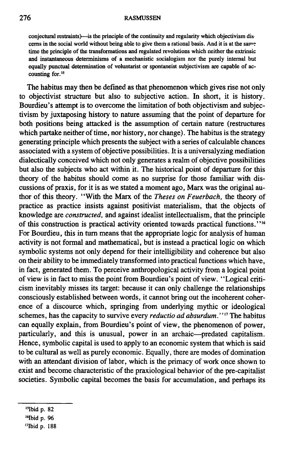conjectural restraints)—is the principle of the continuity and regularity which objectivism discerns in the social world without being able to give them a rational basis. And it is at the same time the principle of the transformations and regulated revolutions which neither the extrinsic and instantaneous determinisms of a mechanistic socialogism nor the purely internal but equally punctual determination of voluntarist or spontaneist subjectivism are capable of accounting for.<sup>15</sup>

The habitus may then be defined as that phenomenon which gives rise not only to objectivist structure but also to subjective action. In short, it is history. Bourdieu's attempt is to overcome the limitation of both objectivism and subjectivism by juxtaposing history to nature assuming that the point of departure for both positions being attacked is the assumption of certain nature (restructures which partake neither of time, nor history, nor change). The habitus is the strategy generating principle which presents the subject with a series of calculable chances associated with a system of objective possibilities. It is a universalyzing mediation dialectically conceived which not only generates a realm of objective possibilities but also the subjects who act within it. The historical point of departure for this theory of the habitus should come as no surprise for those familiar with discussions of praxis, for it is as we stated a moment ago, Marx was the original author of this theory. "With the Marx of the *Theses on Feuerbach, the* theory of practice as practice insists against positivist materialism, that the objects of knowledge are *constructed,* and against idealist intellectualism, that the principle of this construction is practical activity oriented towards practical functions."<sup>16</sup> For Bourdieu, this in turn means that the appropriate logic for analysis of human activity is not formal and mathematical, but is instead a practical logic on which symbolic systems not only depend for their intelligibility and coherence but also on their ability to be immediately transformed into practical functions which have, in fact, generated them. To perceive anthropological activity from a logical point of view is in fact to miss the point from Bourdieu's point of view. "Logical criticism inevitably misses its target: because it can only challenge the relationships consciously established between words, it cannot bring out the incoherent coherence of a discource which, springing from underlying mythic or ideological schemes, has the capacity to survive every *reductio ad absurdum*."<sup>17</sup> The habitus can equally explain, from Bourdieu's point of view, the phenomenon of power, particularly, and this is unusual, power in an archaic---predated capitalism. Hence, symbolic capital is used to apply to an economic system that which is said to be cultural as well as purely economic. Equally, there are modes of domination with an attendant division of labor, which is the primacy of work once shown to exist and become characteristic of the praxiological behavior of the pre-capitalist societies. Symbolic capital becomes the basis for accumulation, and perhaps its

<sup>&</sup>lt;sup>15</sup>Ibid p. 82

 $16$ Ibid p. 96

<sup>17</sup>Ibid p. 188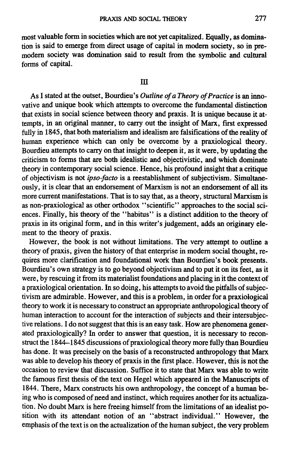most valuable form in societies which are not yet capitalized. Equally, as domination is said to emerge from direct usage of capital in modem society, so in premodem society was domination said to result from the symbolic and cultural forms of capital.

As I stated at the outset, Bourdieu's *Outline of a Theory of Practice* is an innovative and unique book which attempts to overcome the fundamental distinction that exists in social science between theory and praxis. It is unique because it attempts, in an original manner, to carry out the insight of Marx, first expressed fully in 1845, that both materialism and idealism are falsifications of the reality of human experience which can only be overcome by a praxiological theory. Bourdieu attempts to carry on that insight to deepen it, as it were, by updating the criticism to forms that are both idealistic and objectivistic, and which dominate theory in contemporary social science. Hence, his profound insight that a critique of objectivism is not *ipso-facto* is a reestablishment of subjectivism. Simultaneously, it is clear that an endorsement of Marxism is not an endorsement of all its more current manifestations. That is to say that, as a theory, structural Marxism is as non-praxiological as other orthodox "scientific" approaches to the social sciences. Finally, his theory of the "habitus" is a distinct addition to the theory of praxis in its original form, and in this writer's judgement, adds an originary element to the theory of praxis.

However, the book is not without limitations. The very attempt to outline a theory of praxis, given the history of that enterprise in modem social thought, requires more clarification and foundational work than Bourdieu's book presents. Bourdieu's own strategy is to go beyond objectivism and to put it on its feet, as it were, by rescuing it from its materialist foundations and placing in it the context of a praxiological orientation. In so doing, his attempts to avoid the pitfalls of subjectivism are admirable. However, and this is a problem, in order for a praxiological theory to work it is necessary to construct an appropriate anthropological theory of human interaction to account for the interaction of subjects and their intersubjecrive relations. I do not suggest that this is an easy task. How are phenomena generated praxiologically? In order to answer that question, it is necessary to reconstruct the 1844–1845 discussions of praxiological theory more fully than Bourdieu has done. It was precisely on the basis of a reconstructed anthropology that Marx was able to develop his theory of praxis in the first place. However, this is not the occasion to review that discussion. Suffice it to state that Marx was able to write the famous first thesis of the text on Hegel which appeared in the Manuscripts of 1844. There, Marx constructs his own anthropology, the concept of a human being who is composed of need and instinct, which requires another for its actualization. No doubt Marx is here freeing himself from the limitations of an idealist position with its attendant notion of an "abstract individual." However, the emphasis of the text is on the actualization of the human subject, the very problem